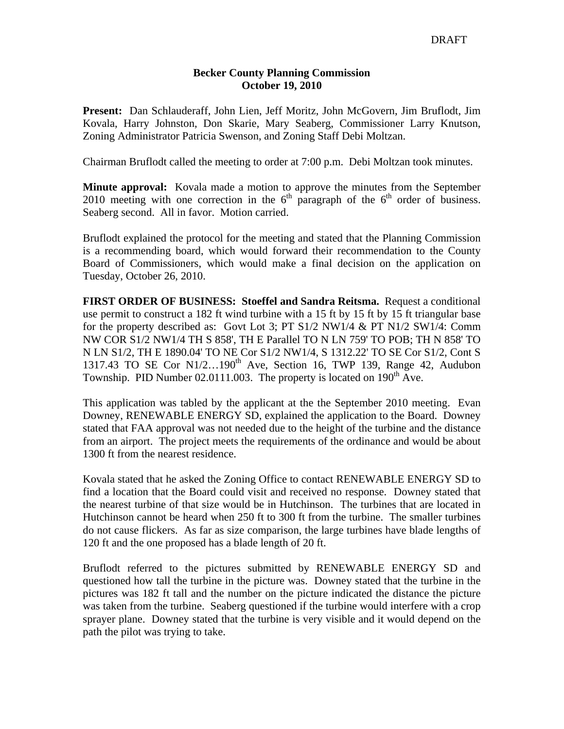## **Becker County Planning Commission October 19, 2010**

**Present:** Dan Schlauderaff, John Lien, Jeff Moritz, John McGovern, Jim Bruflodt, Jim Kovala, Harry Johnston, Don Skarie, Mary Seaberg, Commissioner Larry Knutson, Zoning Administrator Patricia Swenson, and Zoning Staff Debi Moltzan.

Chairman Bruflodt called the meeting to order at 7:00 p.m. Debi Moltzan took minutes.

**Minute approval:** Kovala made a motion to approve the minutes from the September 2010 meeting with one correction in the  $6<sup>th</sup>$  paragraph of the  $6<sup>th</sup>$  order of business. Seaberg second. All in favor. Motion carried.

Bruflodt explained the protocol for the meeting and stated that the Planning Commission is a recommending board, which would forward their recommendation to the County Board of Commissioners, which would make a final decision on the application on Tuesday, October 26, 2010.

**FIRST ORDER OF BUSINESS: Stoeffel and Sandra Reitsma.** Request a conditional use permit to construct a 182 ft wind turbine with a 15 ft by 15 ft by 15 ft triangular base for the property described as: Govt Lot 3; PT S1/2 NW1/4 & PT N1/2 SW1/4: Comm NW COR S1/2 NW1/4 TH S 858', TH E Parallel TO N LN 759' TO POB; TH N 858' TO N LN S1/2, TH E 1890.04' TO NE Cor S1/2 NW1/4, S 1312.22' TO SE Cor S1/2, Cont S 1317.43 TO SE Cor  $N1/2$ ...190<sup>th</sup> Ave, Section 16, TWP 139, Range 42, Audubon Township. PID Number 02.0111.003. The property is located on  $190<sup>th</sup>$  Ave.

This application was tabled by the applicant at the the September 2010 meeting. Evan Downey, RENEWABLE ENERGY SD, explained the application to the Board. Downey stated that FAA approval was not needed due to the height of the turbine and the distance from an airport. The project meets the requirements of the ordinance and would be about 1300 ft from the nearest residence.

Kovala stated that he asked the Zoning Office to contact RENEWABLE ENERGY SD to find a location that the Board could visit and received no response. Downey stated that the nearest turbine of that size would be in Hutchinson. The turbines that are located in Hutchinson cannot be heard when 250 ft to 300 ft from the turbine. The smaller turbines do not cause flickers. As far as size comparison, the large turbines have blade lengths of 120 ft and the one proposed has a blade length of 20 ft.

Bruflodt referred to the pictures submitted by RENEWABLE ENERGY SD and questioned how tall the turbine in the picture was. Downey stated that the turbine in the pictures was 182 ft tall and the number on the picture indicated the distance the picture was taken from the turbine. Seaberg questioned if the turbine would interfere with a crop sprayer plane. Downey stated that the turbine is very visible and it would depend on the path the pilot was trying to take.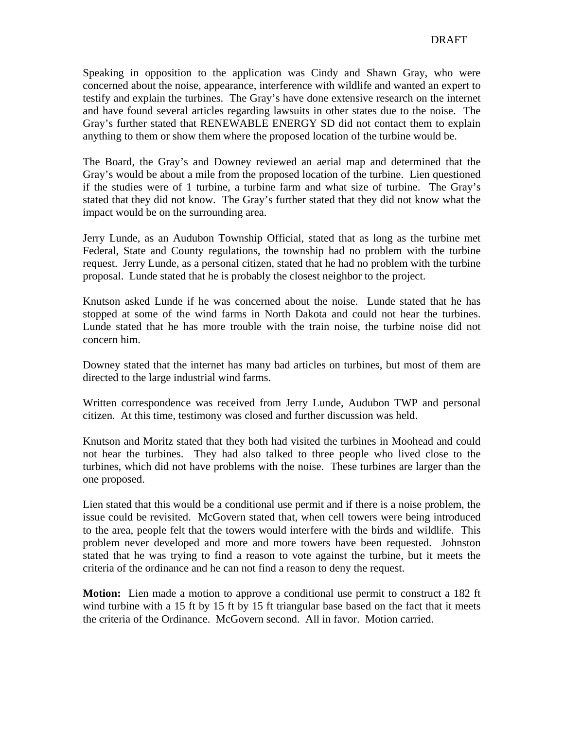Speaking in opposition to the application was Cindy and Shawn Gray, who were concerned about the noise, appearance, interference with wildlife and wanted an expert to testify and explain the turbines. The Gray's have done extensive research on the internet and have found several articles regarding lawsuits in other states due to the noise. The Gray's further stated that RENEWABLE ENERGY SD did not contact them to explain anything to them or show them where the proposed location of the turbine would be.

The Board, the Gray's and Downey reviewed an aerial map and determined that the Gray's would be about a mile from the proposed location of the turbine. Lien questioned if the studies were of 1 turbine, a turbine farm and what size of turbine. The Gray's stated that they did not know. The Gray's further stated that they did not know what the impact would be on the surrounding area.

Jerry Lunde, as an Audubon Township Official, stated that as long as the turbine met Federal, State and County regulations, the township had no problem with the turbine request. Jerry Lunde, as a personal citizen, stated that he had no problem with the turbine proposal. Lunde stated that he is probably the closest neighbor to the project.

Knutson asked Lunde if he was concerned about the noise. Lunde stated that he has stopped at some of the wind farms in North Dakota and could not hear the turbines. Lunde stated that he has more trouble with the train noise, the turbine noise did not concern him.

Downey stated that the internet has many bad articles on turbines, but most of them are directed to the large industrial wind farms.

Written correspondence was received from Jerry Lunde, Audubon TWP and personal citizen. At this time, testimony was closed and further discussion was held.

Knutson and Moritz stated that they both had visited the turbines in Moohead and could not hear the turbines. They had also talked to three people who lived close to the turbines, which did not have problems with the noise. These turbines are larger than the one proposed.

Lien stated that this would be a conditional use permit and if there is a noise problem, the issue could be revisited. McGovern stated that, when cell towers were being introduced to the area, people felt that the towers would interfere with the birds and wildlife. This problem never developed and more and more towers have been requested. Johnston stated that he was trying to find a reason to vote against the turbine, but it meets the criteria of the ordinance and he can not find a reason to deny the request.

**Motion:** Lien made a motion to approve a conditional use permit to construct a 182 ft wind turbine with a 15 ft by 15 ft by 15 ft triangular base based on the fact that it meets the criteria of the Ordinance. McGovern second. All in favor. Motion carried.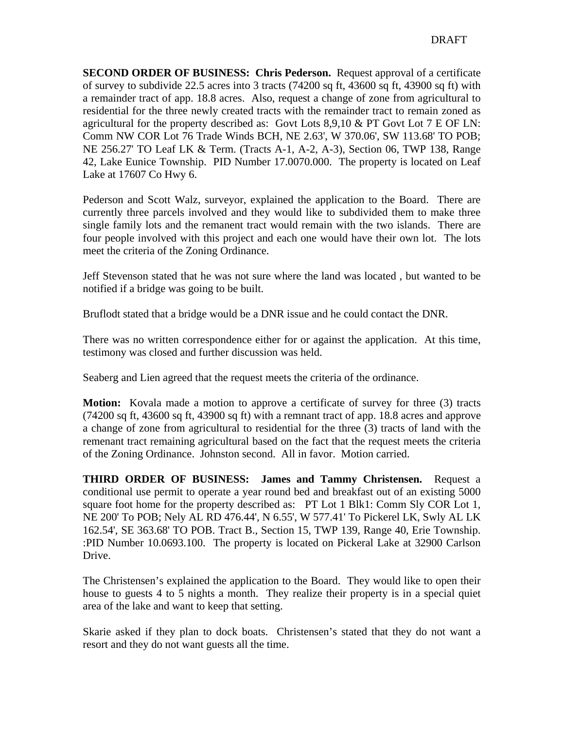**SECOND ORDER OF BUSINESS: Chris Pederson.** Request approval of a certificate of survey to subdivide 22.5 acres into 3 tracts (74200 sq ft, 43600 sq ft, 43900 sq ft) with a remainder tract of app. 18.8 acres. Also, request a change of zone from agricultural to residential for the three newly created tracts with the remainder tract to remain zoned as agricultural for the property described as: Govt Lots 8,9,10 & PT Govt Lot 7 E OF LN: Comm NW COR Lot 76 Trade Winds BCH, NE 2.63', W 370.06', SW 113.68' TO POB; NE 256.27' TO Leaf LK & Term. (Tracts A-1, A-2, A-3), Section 06, TWP 138, Range 42, Lake Eunice Township. PID Number 17.0070.000. The property is located on Leaf Lake at 17607 Co Hwy 6.

Pederson and Scott Walz, surveyor, explained the application to the Board. There are currently three parcels involved and they would like to subdivided them to make three single family lots and the remanent tract would remain with the two islands. There are four people involved with this project and each one would have their own lot. The lots meet the criteria of the Zoning Ordinance.

Jeff Stevenson stated that he was not sure where the land was located , but wanted to be notified if a bridge was going to be built.

Bruflodt stated that a bridge would be a DNR issue and he could contact the DNR.

There was no written correspondence either for or against the application. At this time, testimony was closed and further discussion was held.

Seaberg and Lien agreed that the request meets the criteria of the ordinance.

**Motion:** Kovala made a motion to approve a certificate of survey for three (3) tracts (74200 sq ft, 43600 sq ft, 43900 sq ft) with a remnant tract of app. 18.8 acres and approve a change of zone from agricultural to residential for the three (3) tracts of land with the remenant tract remaining agricultural based on the fact that the request meets the criteria of the Zoning Ordinance. Johnston second. All in favor. Motion carried.

**THIRD ORDER OF BUSINESS: James and Tammy Christensen.** Request a conditional use permit to operate a year round bed and breakfast out of an existing 5000 square foot home for the property described as: PT Lot 1 Blk1: Comm Sly COR Lot 1, NE 200' To POB; Nely AL RD 476.44', N 6.55', W 577.41' To Pickerel LK, Swly AL LK 162.54', SE 363.68' TO POB. Tract B., Section 15, TWP 139, Range 40, Erie Township. :PID Number 10.0693.100. The property is located on Pickeral Lake at 32900 Carlson Drive.

The Christensen's explained the application to the Board. They would like to open their house to guests 4 to 5 nights a month. They realize their property is in a special quiet area of the lake and want to keep that setting.

Skarie asked if they plan to dock boats. Christensen's stated that they do not want a resort and they do not want guests all the time.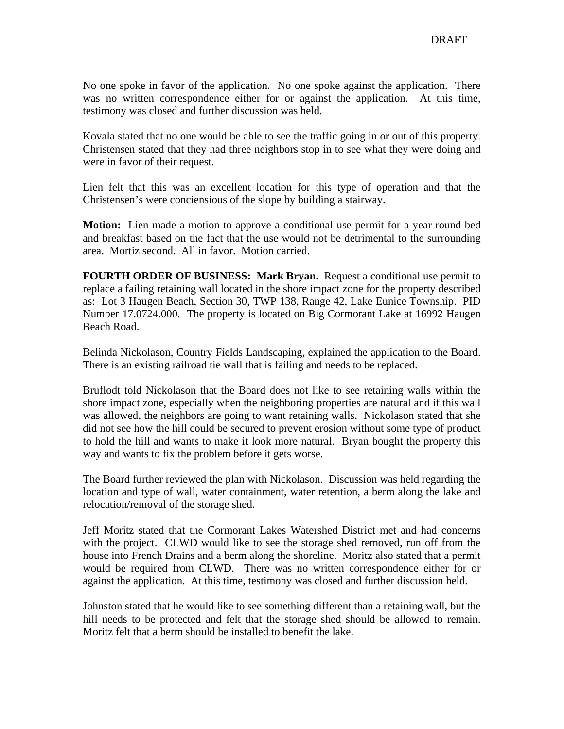No one spoke in favor of the application. No one spoke against the application. There was no written correspondence either for or against the application. At this time, testimony was closed and further discussion was held.

Kovala stated that no one would be able to see the traffic going in or out of this property. Christensen stated that they had three neighbors stop in to see what they were doing and were in favor of their request.

Lien felt that this was an excellent location for this type of operation and that the Christensen's were conciensious of the slope by building a stairway.

**Motion:** Lien made a motion to approve a conditional use permit for a year round bed and breakfast based on the fact that the use would not be detrimental to the surrounding area. Mortiz second. All in favor. Motion carried.

**FOURTH ORDER OF BUSINESS: Mark Bryan.** Request a conditional use permit to replace a failing retaining wall located in the shore impact zone for the property described as: Lot 3 Haugen Beach, Section 30, TWP 138, Range 42, Lake Eunice Township. PID Number 17.0724.000. The property is located on Big Cormorant Lake at 16992 Haugen Beach Road.

Belinda Nickolason, Country Fields Landscaping, explained the application to the Board. There is an existing railroad tie wall that is failing and needs to be replaced.

Bruflodt told Nickolason that the Board does not like to see retaining walls within the shore impact zone, especially when the neighboring properties are natural and if this wall was allowed, the neighbors are going to want retaining walls. Nickolason stated that she did not see how the hill could be secured to prevent erosion without some type of product to hold the hill and wants to make it look more natural. Bryan bought the property this way and wants to fix the problem before it gets worse.

The Board further reviewed the plan with Nickolason. Discussion was held regarding the location and type of wall, water containment, water retention, a berm along the lake and relocation/removal of the storage shed.

Jeff Moritz stated that the Cormorant Lakes Watershed District met and had concerns with the project. CLWD would like to see the storage shed removed, run off from the house into French Drains and a berm along the shoreline. Moritz also stated that a permit would be required from CLWD. There was no written correspondence either for or against the application. At this time, testimony was closed and further discussion held.

Johnston stated that he would like to see something different than a retaining wall, but the hill needs to be protected and felt that the storage shed should be allowed to remain. Moritz felt that a berm should be installed to benefit the lake.